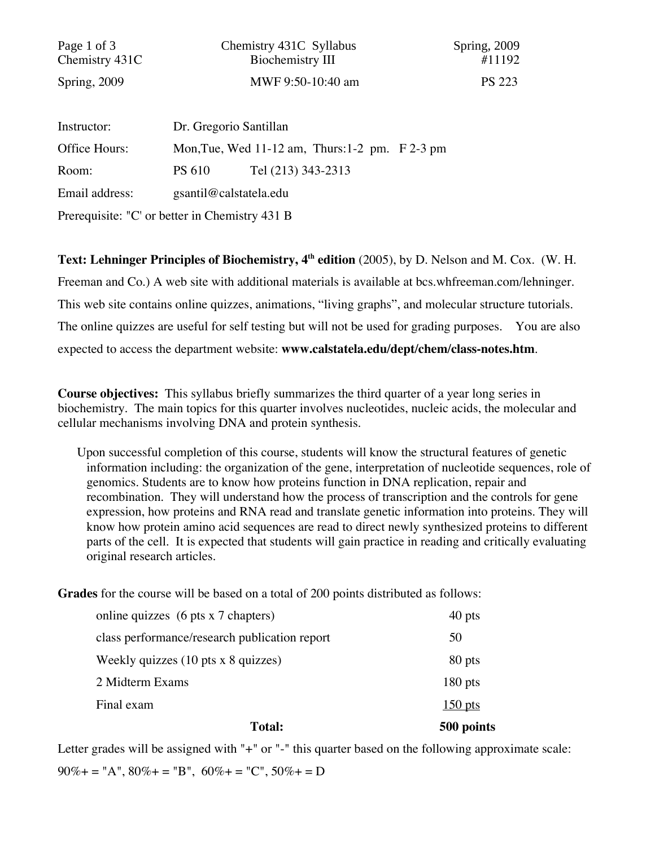| Page 1 of 3<br>Chemistry 431C                  |               | Chemistry 431C Syllabus<br>Biochemistry III             | Spring, 2009<br>#11192 |
|------------------------------------------------|---------------|---------------------------------------------------------|------------------------|
| Spring, 2009                                   |               | MWF 9:50-10:40 am                                       | <b>PS 223</b>          |
| Instructor:                                    |               | Dr. Gregorio Santillan                                  |                        |
|                                                |               |                                                         |                        |
| Office Hours:                                  |               | Mon, Tue, Wed $11-12$ am, Thurs: $1-2$ pm. $F$ $2-3$ pm |                        |
| Room:                                          | <b>PS 610</b> | Tel (213) 343-2313                                      |                        |
| Email address:                                 |               | gsantil@calstatela.edu                                  |                        |
| Prerequisite: "C' or better in Chemistry 431 B |               |                                                         |                        |

Text: Lehninger Principles of Biochemistry, 4<sup>th</sup> edition (2005), by D. Nelson and M. Cox. (W. H. Freeman and Co.) A web site with additional materials is available at bcs.whfreeman.com/lehninger. This web site contains online quizzes, animations, "living graphs", and molecular structure tutorials. The online quizzes are useful for self testing but will not be used for grading purposes. You are also expected to access the department website: **www.calstatela.edu/dept/chem/class-notes.htm**.

**Course objectives:** This syllabus briefly summarizes the third quarter of a year long series in biochemistry. The main topics for this quarter involves nucleotides, nucleic acids, the molecular and cellular mechanisms involving DNA and protein synthesis.

Upon successful completion of this course, students will know the structural features of genetic information including: the organization of the gene, interpretation of nucleotide sequences, role of genomics. Students are to know how proteins function in DNA replication, repair and recombination. They will understand how the process of transcription and the controls for gene expression, how proteins and RNA read and translate genetic information into proteins. They will know how protein amino acid sequences are read to direct newly synthesized proteins to different parts of the cell. It is expected that students will gain practice in reading and critically evaluating original research articles.

**Grades** for the course will be based on a total of 200 points distributed as follows:

| <b>Total:</b>                                             | 500 points |
|-----------------------------------------------------------|------------|
| Final exam                                                | $150$ pts  |
| 2 Midterm Exams                                           | $180$ pts  |
| Weekly quizzes $(10 \text{ pts} \times 8 \text{ quizes})$ | 80 pts     |
| class performance/research publication report             | 50         |
| online quizzes (6 pts x 7 chapters)                       | 40 pts     |

Letter grades will be assigned with "+" or "-" this quarter based on the following approximate scale:  $90\% +$  = "A",  $80\% +$  = "B",  $60\% +$  = "C",  $50\% +$  = D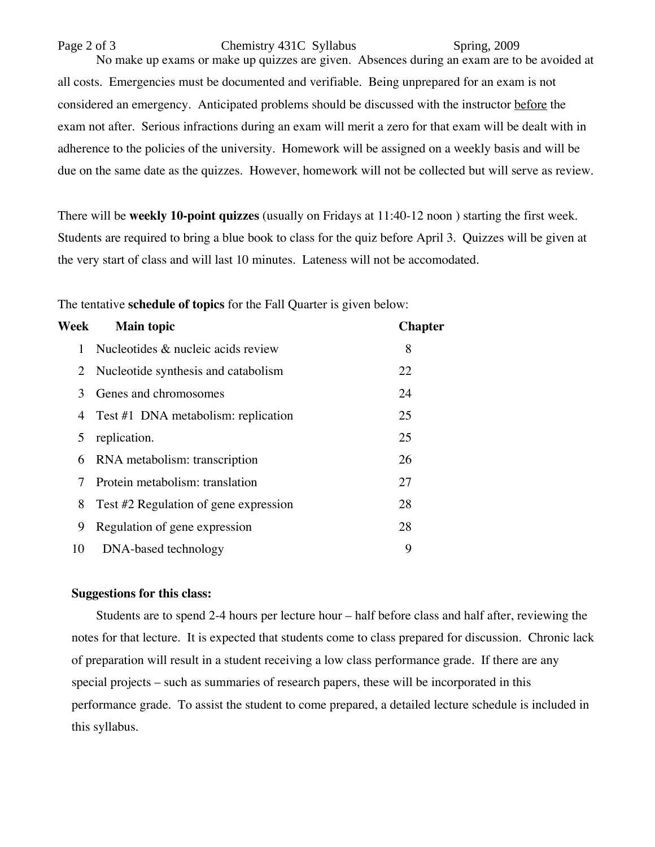Page 2 of 3 Chemistry 431C Syllabus Spring, 2009 No make up exams or make up quizzes are given. Absences during an exam are to be avoided at all costs. Emergencies must be documented and verifiable. Being unprepared for an exam is not considered an emergency. Anticipated problems should be discussed with the instructor before the exam not after. Serious infractions during an exam will merit a zero for that exam will be dealt with in adherence to the policies of the university. Homework will be assigned on a weekly basis and will be due on the same date as the quizzes. However, homework will not be collected but will serve as review.

There will be **weekly 10-point quizzes** (usually on Fridays at 11:40-12 noon ) starting the first week. Students are required to bring a blue book to class for the quiz before April 3. Quizzes will be given at the very start of class and will last 10 minutes. Lateness will not be accomodated.

The tentative **schedule of topics** for the Fall Quarter is given below:

| Week | <b>Main topic</b>                     | <b>Chapter</b> |
|------|---------------------------------------|----------------|
|      | Nucleotides & nucleic acids review    | 8              |
|      | 2 Nucleotide synthesis and catabolism | 22             |
| 3    | Genes and chromosomes                 | 24             |
| 4    | Test #1 DNA metabolism: replication   | 25             |
| 5    | replication.                          | 25             |
| 6    | RNA metabolism: transcription         | 26             |
| 7    | Protein metabolism: translation       | 27             |
| 8    | Test #2 Regulation of gene expression | 28             |
| 9    | Regulation of gene expression         | 28             |
| 10   | DNA-based technology                  | 9              |

## **Suggestions for this class:**

 Students are to spend 2-4 hours per lecture hour – half before class and half after, reviewing the notes for that lecture. It is expected that students come to class prepared for discussion. Chronic lack of preparation will result in a student receiving a low class performance grade. If there are any special projects – such as summaries of research papers, these will be incorporated in this performance grade. To assist the student to come prepared, a detailed lecture schedule is included in this syllabus.